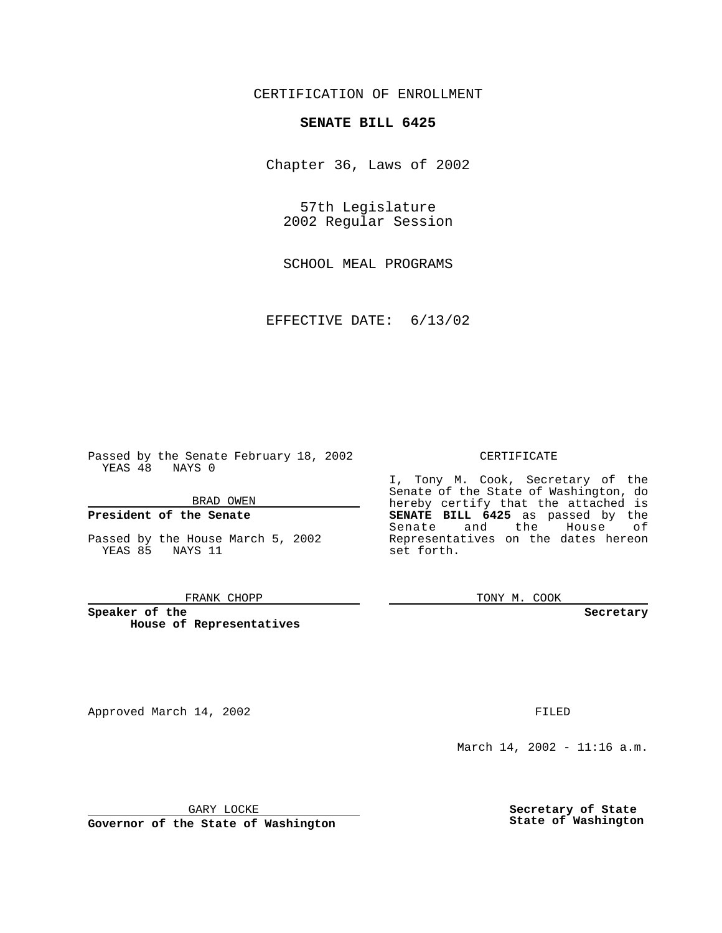# CERTIFICATION OF ENROLLMENT

# **SENATE BILL 6425**

Chapter 36, Laws of 2002

57th Legislature 2002 Regular Session

SCHOOL MEAL PROGRAMS

EFFECTIVE DATE: 6/13/02

Passed by the Senate February 18, 2002 YEAS 48 NAYS 0

BRAD OWEN

### **President of the Senate**

Passed by the House March 5, 2002 YEAS 85 NAYS 11

#### FRANK CHOPP

**Speaker of the House of Representatives**

Approved March 14, 2002 **FILED** 

#### CERTIFICATE

I, Tony M. Cook, Secretary of the Senate of the State of Washington, do hereby certify that the attached is **SENATE BILL 6425** as passed by the Senate and the House of Representatives on the dates hereon set forth.

TONY M. COOK

**Secretary**

March 14, 2002 - 11:16 a.m.

GARY LOCKE

**Governor of the State of Washington**

**Secretary of State State of Washington**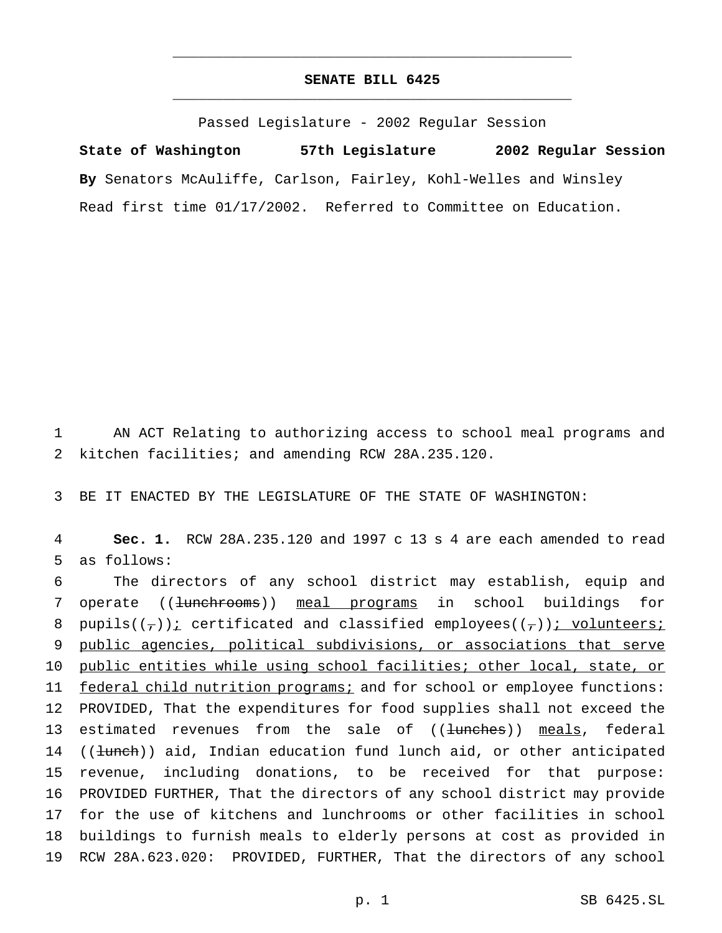# **SENATE BILL 6425** \_\_\_\_\_\_\_\_\_\_\_\_\_\_\_\_\_\_\_\_\_\_\_\_\_\_\_\_\_\_\_\_\_\_\_\_\_\_\_\_\_\_\_\_\_\_\_

\_\_\_\_\_\_\_\_\_\_\_\_\_\_\_\_\_\_\_\_\_\_\_\_\_\_\_\_\_\_\_\_\_\_\_\_\_\_\_\_\_\_\_\_\_\_\_

Passed Legislature - 2002 Regular Session

**State of Washington 57th Legislature 2002 Regular Session By** Senators McAuliffe, Carlson, Fairley, Kohl-Welles and Winsley Read first time 01/17/2002. Referred to Committee on Education.

1 AN ACT Relating to authorizing access to school meal programs and 2 kitchen facilities; and amending RCW 28A.235.120.

3 BE IT ENACTED BY THE LEGISLATURE OF THE STATE OF WASHINGTON:

4 **Sec. 1.** RCW 28A.235.120 and 1997 c 13 s 4 are each amended to read 5 as follows:

6 The directors of any school district may establish, equip and 7 operate ((<del>lunchrooms</del>)) meal programs in school buildings for 8 pupils( $(\tau)$ ); certificated and classified employees( $(\tau)$ ); volunteers; 9 public agencies, political subdivisions, or associations that serve 10 public entities while using school facilities; other local, state, or 11 federal child nutrition programs; and for school or employee functions: 12 PROVIDED, That the expenditures for food supplies shall not exceed the 13 estimated revenues from the sale of ((<del>lunches</del>)) meals, federal 14 ((lunch)) aid, Indian education fund lunch aid, or other anticipated 15 revenue, including donations, to be received for that purpose: 16 PROVIDED FURTHER, That the directors of any school district may provide 17 for the use of kitchens and lunchrooms or other facilities in school 18 buildings to furnish meals to elderly persons at cost as provided in 19 RCW 28A.623.020: PROVIDED, FURTHER, That the directors of any school